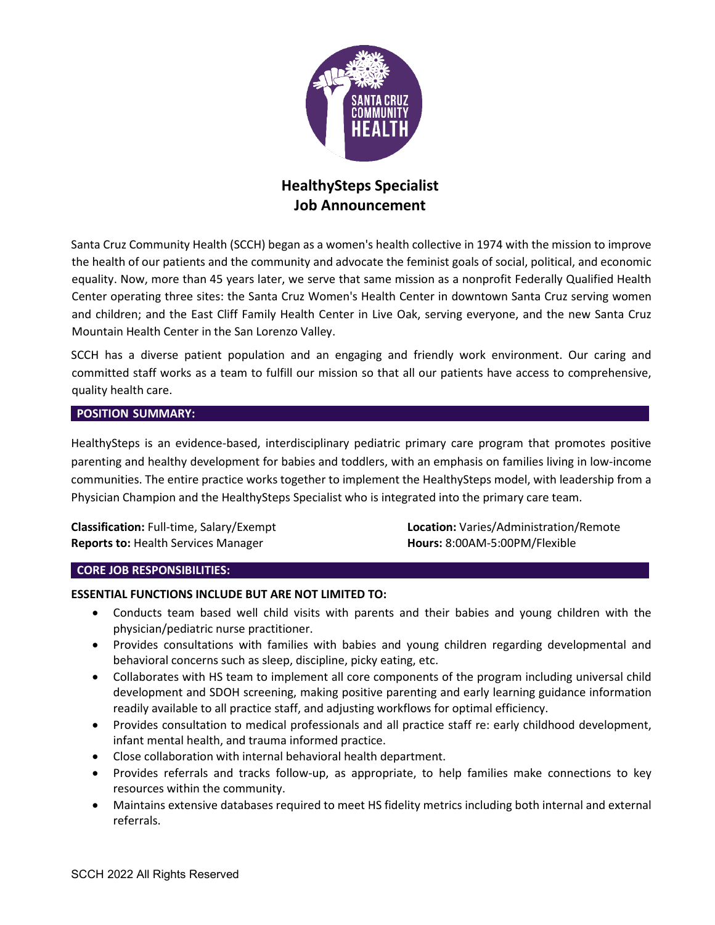

# **HealthySteps Specialist Job Announcement**

Santa Cruz Community Health (SCCH) began as a women's health collective in 1974 with the mission to improve the health of our patients and the community and advocate the feminist goals of social, political, and economic equality. Now, more than 45 years later, we serve that same mission as a nonprofit Federally Qualified Health Center operating three sites: the Santa Cruz Women's Health Center in downtown Santa Cruz serving women and children; and the East Cliff Family Health Center in Live Oak, serving everyone, and the new Santa Cruz Mountain Health Center in the San Lorenzo Valley.

SCCH has a diverse patient population and an engaging and friendly work environment. Our caring and committed staff works as a team to fulfill our mission so that all our patients have access to comprehensive, quality health care.

## **POSITION SUMMARY:**

HealthySteps is an evidence-based, interdisciplinary pediatric primary care program that promotes positive parenting and healthy development for babies and toddlers, with an emphasis on families living in low-income communities. The entire practice works together to implement the HealthySteps model, with leadership from a Physician Champion and the HealthySteps Specialist who is integrated into the primary care team.

**Reports to:** Health Services Manager **Hours:** 8:00AM-5:00PM/Flexible

**Classification:** Full-time, Salary/Exempt **Location:** Varies/Administration/Remote

#### **CORE JOB RESPONSIBILITIES:**

## **ESSENTIAL FUNCTIONS INCLUDE BUT ARE NOT LIMITED TO:**

- Conducts team based well child visits with parents and their babies and young children with the physician/pediatric nurse practitioner.
- Provides consultations with families with babies and young children regarding developmental and behavioral concerns such as sleep, discipline, picky eating, etc.
- Collaborates with HS team to implement all core components of the program including universal child development and SDOH screening, making positive parenting and early learning guidance information readily available to all practice staff, and adjusting workflows for optimal efficiency.
- Provides consultation to medical professionals and all practice staff re: early childhood development, infant mental health, and trauma informed practice.
- Close collaboration with internal behavioral health department.
- Provides referrals and tracks follow-up, as appropriate, to help families make connections to key resources within the community.
- Maintains extensive databases required to meet HS fidelity metrics including both internal and external referrals.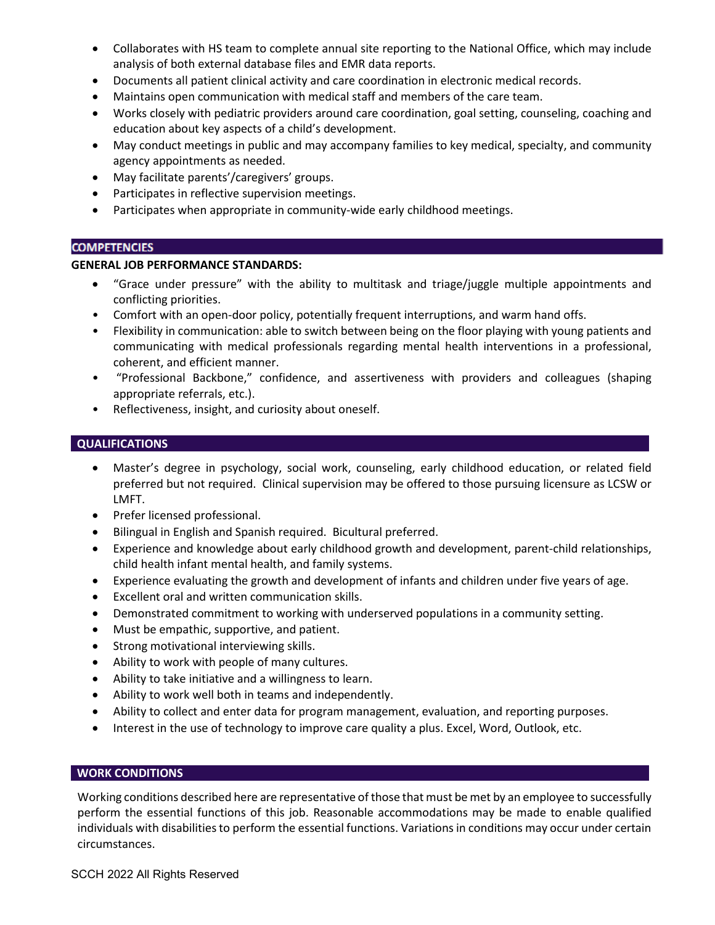- Collaborates with HS team to complete annual site reporting to the National Office, which may include analysis of both external database files and EMR data reports.
- Documents all patient clinical activity and care coordination in electronic medical records.
- Maintains open communication with medical staff and members of the care team.
- Works closely with pediatric providers around care coordination, goal setting, counseling, coaching and education about key aspects of a child's development.
- May conduct meetings in public and may accompany families to key medical, specialty, and community agency appointments as needed.
- May facilitate parents'/caregivers' groups.
- Participates in reflective supervision meetings.
- Participates when appropriate in community-wide early childhood meetings.

### **COMPETENCIES**

### **GENERAL JOB PERFORMANCE STANDARDS:**

- "Grace under pressure" with the ability to multitask and triage/juggle multiple appointments and conflicting priorities.
- Comfort with an open-door policy, potentially frequent interruptions, and warm hand offs.
- Flexibility in communication: able to switch between being on the floor playing with young patients and communicating with medical professionals regarding mental health interventions in a professional, coherent, and efficient manner.
- "Professional Backbone," confidence, and assertiveness with providers and colleagues (shaping appropriate referrals, etc.).
- Reflectiveness, insight, and curiosity about oneself.

## **QUALIFICATIONS**

- Master's degree in psychology, social work, counseling, early childhood education, or related field preferred but not required. Clinical supervision may be offered to those pursuing licensure as LCSW or LMFT.
- Prefer licensed professional.
- Bilingual in English and Spanish required. Bicultural preferred.
- Experience and knowledge about early childhood growth and development, parent-child relationships, child health infant mental health, and family systems.
- Experience evaluating the growth and development of infants and children under five years of age.
- Excellent oral and written communication skills.
- Demonstrated commitment to working with underserved populations in a community setting.
- Must be empathic, supportive, and patient.
- Strong motivational interviewing skills.
- Ability to work with people of many cultures.
- Ability to take initiative and a willingness to learn.
- Ability to work well both in teams and independently.
- Ability to collect and enter data for program management, evaluation, and reporting purposes.
- Interest in the use of technology to improve care quality a plus. Excel, Word, Outlook, etc.

## **WORK CONDITIONS**

Working conditions described here are representative of those that must be met by an employee to successfully perform the essential functions of this job. Reasonable accommodations may be made to enable qualified individuals with disabilities to perform the essential functions. Variations in conditions may occur under certain circumstances.